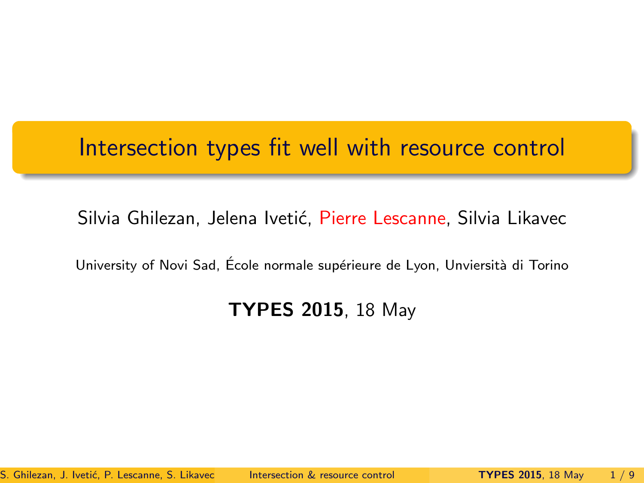## Intersection types fit well with resource control

#### Silvia Ghilezan, Jelena Ivetić, Pierre Lescanne, Silvia Likavec

University of Novi Sad, École normale supérieure de Lyon, Unviersità di Torino

#### <span id="page-0-0"></span>TYPES 2015, 18 May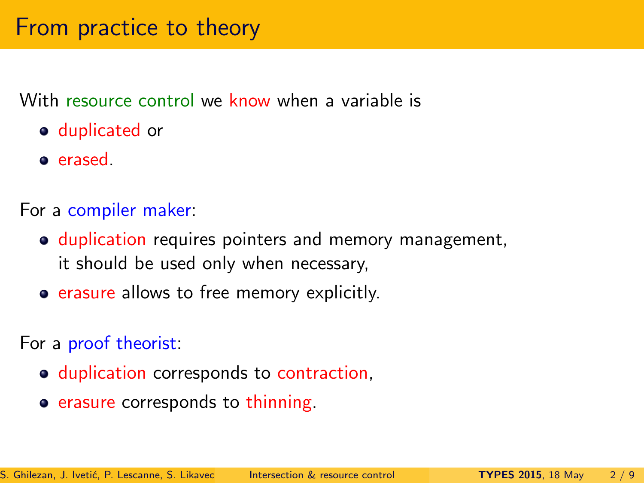With resource control we know when a variable is

- **o** duplicated or
- erased.

For a compiler maker:

- duplication requires pointers and memory management, it should be used only when necessary,
- **erasure allows to free memory explicitly.**

For a proof theorist:

- $\bullet$  duplication corresponds to contraction,
- erasure corresponds to thinning.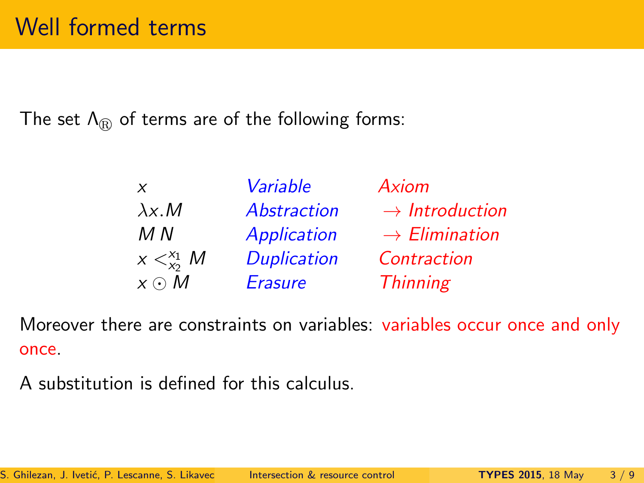The set  $\Lambda_{\rm r}$  of terms are of the following forms:

| X                   | Variable           | Axiom                      |
|---------------------|--------------------|----------------------------|
| $\lambda x.M$       | Abstraction        | $\rightarrow$ Introduction |
| M N                 | Application        | $\rightarrow$ Elimination  |
| $x <_{x_2}^{x_1} M$ | <b>Duplication</b> | Contraction                |
| $x \odot M$         | <b>Erasure</b>     | <b>Thinning</b>            |

Moreover there are constraints on variables: variables occur once and only once.

A substitution is defined for this calculus.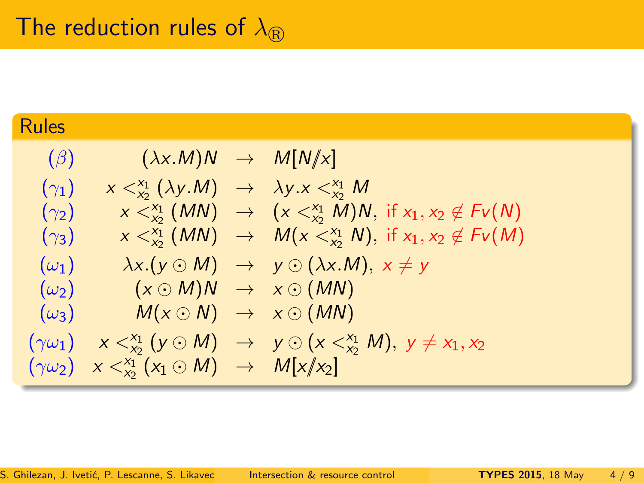# Rules  $(\beta)$   $(\lambda x.M)N \rightarrow M[N/x]$ ( $\gamma_1$ )  $x <_{x_2}^{x_1} (\lambda y.M) \rightarrow \lambda y.x <_{x_2}^{x_1} M$ ( $\gamma_2$ )  $x <_{x_2}^{x_1} (MN) \rightarrow (x <_{x_2}^{x_1} M)N$ , if  $x_1, x_2 \notin Fv(N)$ ( $\gamma_3$ )  $x <_{x_2}^{x_1} (MN) \rightarrow M(x <_{x_2}^{x_1} N)$ , if  $x_1, x_2 \notin Fv(M)$  $(\omega_1) \quad \lambda x.(y \odot M) \rightarrow y \odot (\lambda x.M), x \neq y$  $(\omega_2) \quad (x \odot M)N \rightarrow x \odot (MN)$  $(\omega_3)$   $M(x \odot N) \rightarrow x \odot (MN)$  $(\gamma \omega_1)$   $x <_{x_2}^{x_1} (y \odot M) \rightarrow y \odot (x <_{x_2}^{x_1} M)$ ,  $y \neq x_1, x_2$  $(\gamma \omega_2)$   $x <_{x_2}^{x_1}(x_1 \odot M) \rightarrow M[x/x_2]$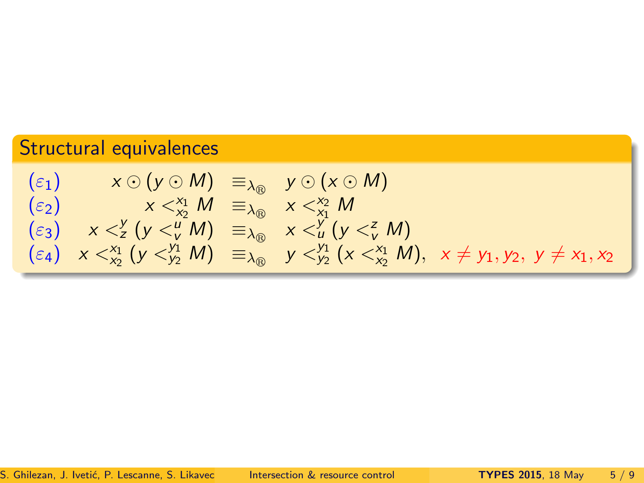### Structural equivalences

$$
\begin{array}{llll}\n(\varepsilon_1) & x \odot (y \odot M) & \equiv_{\lambda_{\text{f}}}\quad y \odot (x \odot M) \\
(\varepsilon_2) & x <_{\chi_2}^{\chi_1} M & \equiv_{\lambda_{\text{f}}}\quad x <_{\chi_1}^{\chi_2} M \\
(\varepsilon_3) & x <_{\chi}^y (y <_{\nu}^y M) & \equiv_{\lambda_{\text{f}}}\quad x <_{\nu}^y (y <_{\nu}^z M) \\
(\varepsilon_4) & x <_{\chi_2}^{\chi_1} (y <_{\chi_2}^y M) & \equiv_{\lambda_{\text{f}}}\quad y <_{\chi_2}^{\chi_1} (x <_{\chi_2}^x M), \quad x \neq y_1, y_2, \quad y \neq x_1, x_2\n\end{array}
$$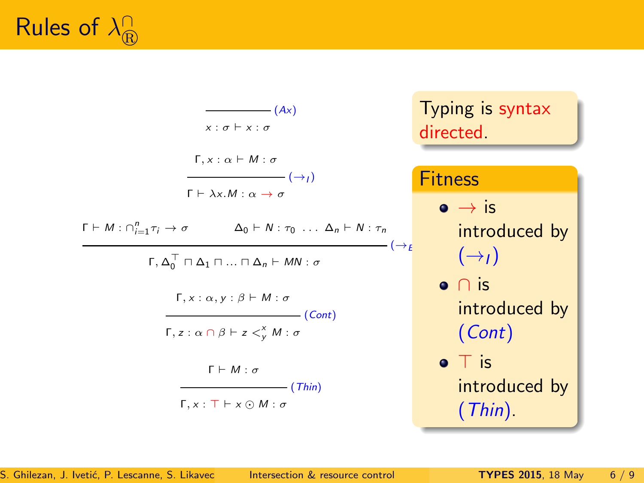

| $-(Ax)$                                                                                                                           | Typing is syntax                |
|-----------------------------------------------------------------------------------------------------------------------------------|---------------------------------|
| $x : \sigma \vdash x : \sigma$                                                                                                    | directed.                       |
| $\Gamma, x : \alpha \vdash M : \sigma$                                                                                            |                                 |
| $ \rightarrow$ $\rightarrow$ $\rightarrow$<br>$\Gamma \vdash \lambda x.M : \alpha \rightarrow \sigma$                             | <b>Fitness</b>                  |
|                                                                                                                                   | $\bullet \rightarrow \text{is}$ |
| $\Gamma \vdash M : \bigcap_{i=1}^{n} \tau_i \rightarrow \sigma$<br>$\Delta_0 \vdash N : \tau_0 \ldots \Delta_n \vdash N : \tau_n$ | introduced by                   |
| $ (\rightarrow_F)$<br>$\Gamma, \Delta_0^{\top} \sqcap \Delta_1 \sqcap  \sqcap \Delta_n \vdash MN : \sigma$                        | $(\rightarrow)$                 |
| $\Gamma, x : \alpha, y : \beta \vdash M : \sigma$                                                                                 | $\bullet$ n is                  |
| $\overline{\phantom{a}}$ (Cont)                                                                                                   | introduced by                   |
| $\Gamma, z : \alpha \cap \beta \vdash z <^X_v M : \sigma$                                                                         | (Cont)                          |
| $\Gamma \vdash M : \sigma$                                                                                                        | $\bullet$ T is                  |
| $-(Thin)$                                                                                                                         | introduced by                   |
| $\Gamma, x : \top \vdash x \odot M : \sigma$                                                                                      | $(Thin)$ .                      |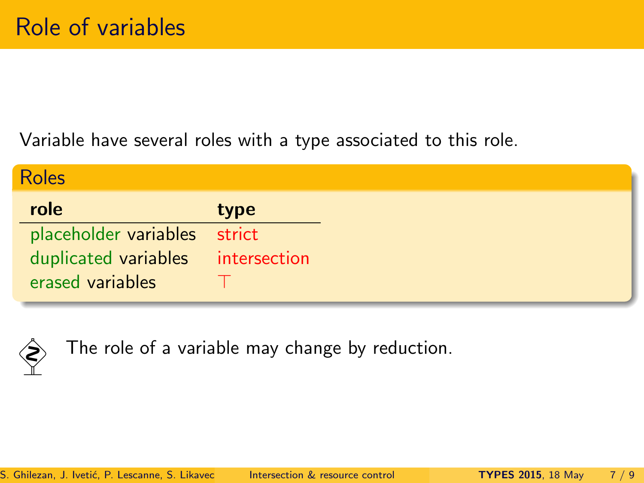Variable have several roles with a type associated to this role.

| <b>Roles</b>                      |        |
|-----------------------------------|--------|
| role                              | type   |
| placeholder variables             | strict |
| duplicated variables intersection |        |
| erased variables                  |        |



The role of a variable may change by reduction.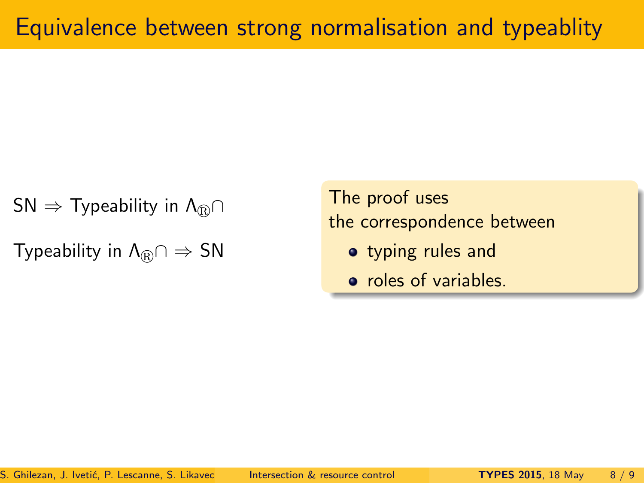$$
\mathsf{SN} \Rightarrow \mathsf{Typeability\ in\ } \Lambda_{\textcircled{B}} \cap
$$

Typeability in  $\Lambda_{\mathbb{R}} \cap \Rightarrow SN$ 

The proof uses the correspondence between

- typing rules and
- roles of variables.